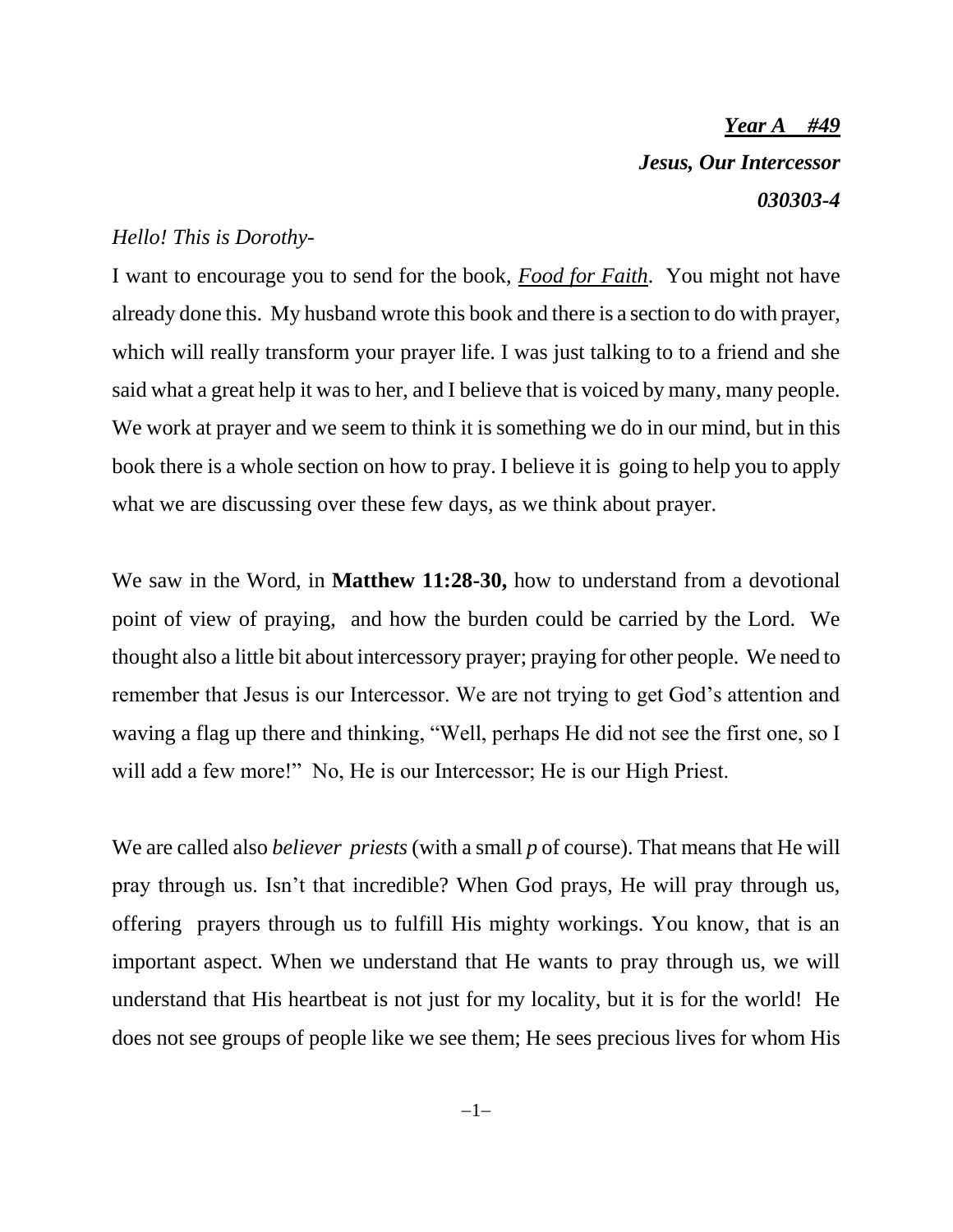*Year A #49 Jesus, Our Intercessor 030303-4*

## *Hello! This is Dorothy-*

I want to encourage you to send for the book, *Food for Faith*. You might not have already done this. My husband wrote this book and there is a section to do with prayer, which will really transform your prayer life. I was just talking to to a friend and she said what a great help it was to her, and I believe that is voiced by many, many people. We work at prayer and we seem to think it is something we do in our mind, but in this book there is a whole section on how to pray. I believe it is going to help you to apply what we are discussing over these few days, as we think about prayer.

We saw in the Word, in **Matthew 11:28-30,** how to understand from a devotional point of view of praying, and how the burden could be carried by the Lord. We thought also a little bit about intercessory prayer; praying for other people. We need to remember that Jesus is our Intercessor. We are not trying to get God's attention and waving a flag up there and thinking, "Well, perhaps He did not see the first one, so I will add a few more!" No, He is our Intercessor; He is our High Priest.

We are called also *believer priests* (with a small *p* of course). That means that He will pray through us. Isn't that incredible? When God prays, He will pray through us, offering prayers through us to fulfill His mighty workings. You know, that is an important aspect. When we understand that He wants to pray through us, we will understand that His heartbeat is not just for my locality, but it is for the world! He does not see groups of people like we see them; He sees precious lives for whom His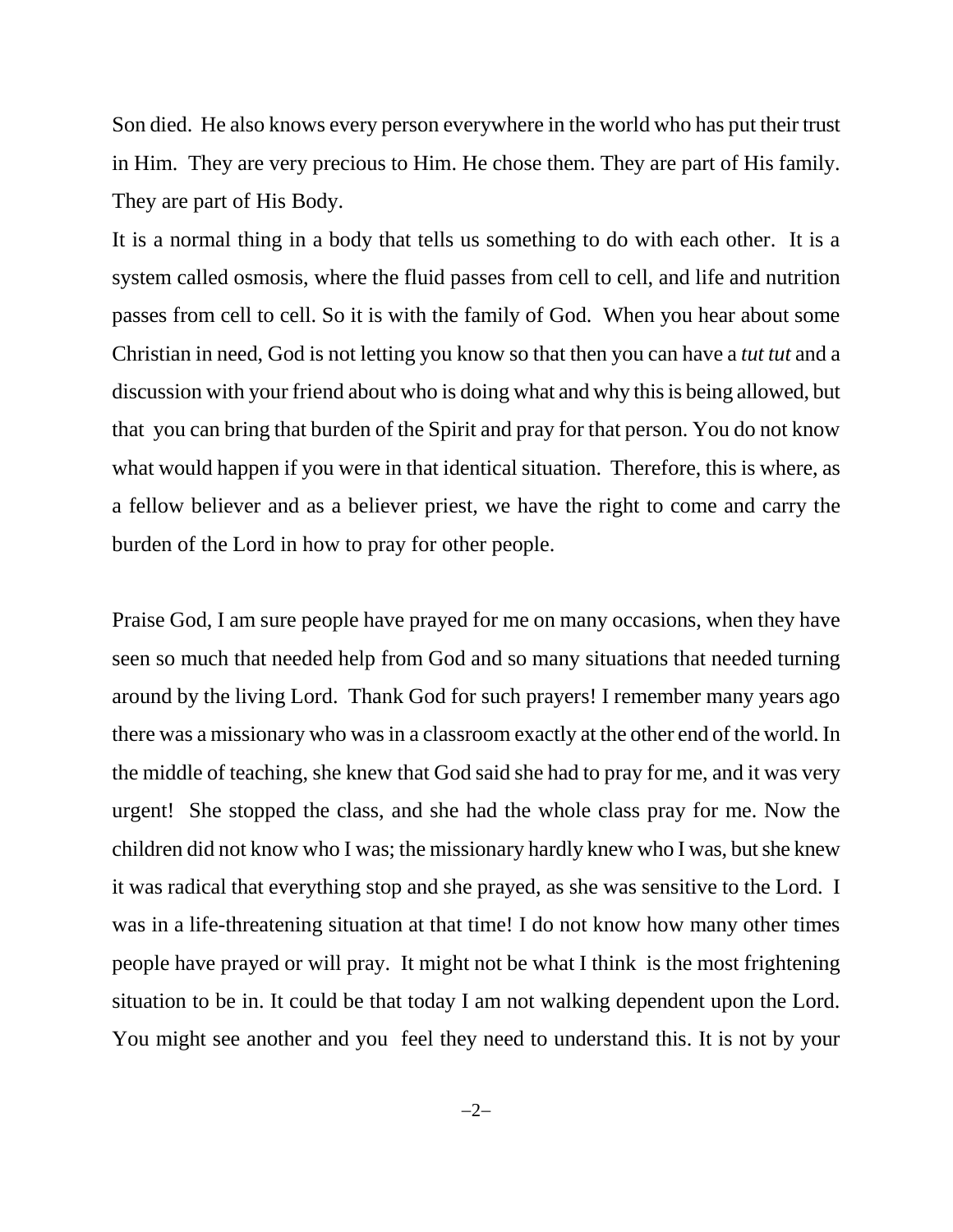Son died. He also knows every person everywhere in the world who has put their trust in Him. They are very precious to Him. He chose them. They are part of His family. They are part of His Body.

It is a normal thing in a body that tells us something to do with each other. It is a system called osmosis, where the fluid passes from cell to cell, and life and nutrition passes from cell to cell. So it is with the family of God. When you hear about some Christian in need, God is not letting you know so that then you can have a *tut tut* and a discussion with your friend about who is doing what and why this is being allowed, but that you can bring that burden of the Spirit and pray for that person. You do not know what would happen if you were in that identical situation. Therefore, this is where, as a fellow believer and as a believer priest, we have the right to come and carry the burden of the Lord in how to pray for other people.

Praise God, I am sure people have prayed for me on many occasions, when they have seen so much that needed help from God and so many situations that needed turning around by the living Lord. Thank God for such prayers! I remember many years ago there was a missionary who was in a classroom exactly at the other end of the world. In the middle of teaching, she knew that God said she had to pray for me, and it was very urgent! She stopped the class, and she had the whole class pray for me. Now the children did not know who I was; the missionary hardly knew who I was, but she knew it was radical that everything stop and she prayed, as she was sensitive to the Lord. I was in a life-threatening situation at that time! I do not know how many other times people have prayed or will pray. It might not be what I think is the most frightening situation to be in. It could be that today I am not walking dependent upon the Lord. You might see another and you feel they need to understand this. It is not by your